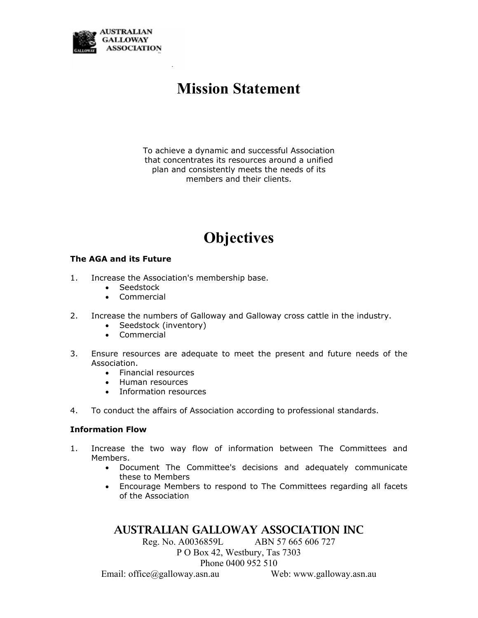

# **Mission Statement**

To achieve a dynamic and successful Association that concentrates its resources around a unified plan and consistently meets the needs of its members and their clients.

# **Objectives**

#### **The AGA and its Future**

- 1. Increase the Association's membership base.
	- Seedstock
	- Commercial
- 2. Increase the numbers of Galloway and Galloway cross cattle in the industry.
	- Seedstock (inventory)
	- Commercial
- 3. Ensure resources are adequate to meet the present and future needs of the Association.
	- Financial resources
	- Human resources
	- Information resources
- 4. To conduct the affairs of Association according to professional standards.

#### **Information Flow**

- 1. Increase the two way flow of information between The Committees and Members.
	- Document The Committee's decisions and adequately communicate these to Members
	- Encourage Members to respond to The Committees regarding all facets of the Association

### AUSTRALIAN GALLOWAY ASSOCIATION INC

Reg. No. A0036859L ABN 57 665 606 727

P O Box 42, Westbury, Tas 7303

Phone 0400 952 510

Email: office@galloway.asn.au Web: www.galloway.asn.au